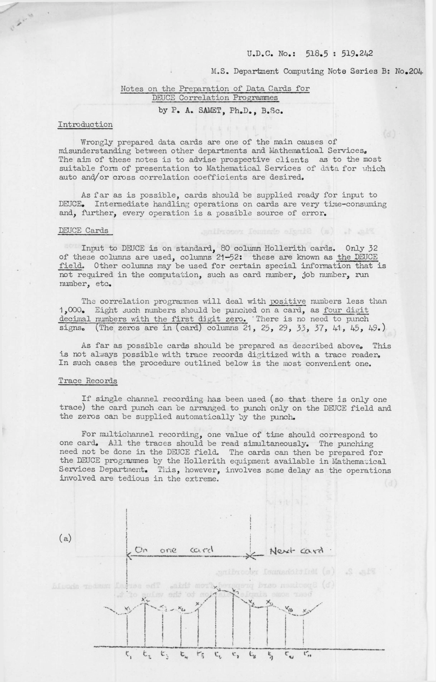## U.D.C. No.: 518.5 : 519.242

Fig. 1. (a) Single change recording.

M.S. Department Computing Note Series B: No.204

# Notes on the Preparation of Data Cards for DEUCE Correlation Programmes by P. A. SAMET, Ph.D., B.Sc.

#### Introduction

Wrongly prepared data cards are one of the main causes of misunderstanding between other departments and Mathematical Services. The aim of these notes is to advise prospective clients as to the most suitable form of presentation to Mathematical Services of data for which auto and/or cross correlation coefficients are desired.

As far as is possible, cards should be supplied ready for input to DEUCE. Intermediate handling operations on cards are very time-consuming and, further, every operation is a possible source of error.

#### DEUCE Cards

Input to DEUCE is on standard, <sup>80</sup> column Hollerith cards. Only <sup>32</sup> of these columns are used, columns 21-52: these are known as the DEUCE field. Other columns may be used for certain special information that is not required in the computation, such as card number, job number, run number, etc.

The correlation programmes will deal with positive numbers less than 1,000, Eight such numbers should be punched on a card, as four digit decimal numbers with the first digit zero. There is no need to punch signs. (The zeros are in (card) columns 21, 25, 29, 53, 37, 41, 45, 49∙)

As far as possible cards should be prepared as described above. This is not always possible with trace records digitized with a trace reader. In such cases the procedure outlined below is the most convenient one.

## Trace Records

If single channel recording has been used (so that there is only one trace) the card punch can be arranged to punch only on the DEJGE field and the zeros can be supplied automatically by the punch.

For multichannel recording, one value of time should correspond to one card. All the traces should be read simultaneously. The punching need not be done in the DEUCE field. The cards can then be prepared for the DEJCE programmes by the Hollerith equipment available in Mathematical Services Department. This, however, involves some delay as the operations involved are tedious in the extreme.

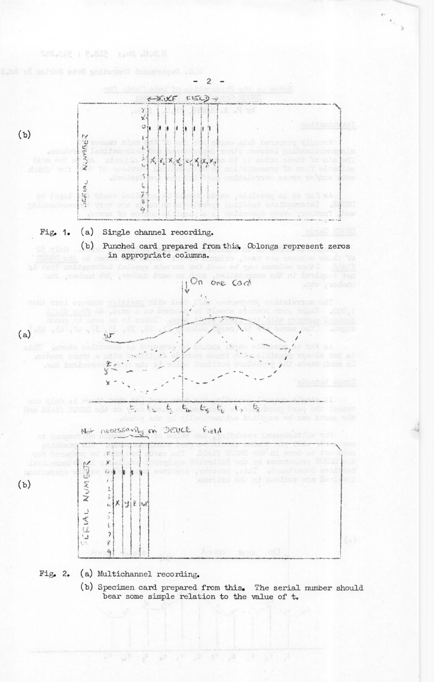

*t-'*

Pig, 2, (a) Multichannel recording.

 $n_1 - n_2$ 

0.0.0.0 101 516.5 : 519.00

(b) Specimen card prepared from this. The serial number should bear some simple relation to the value of t.